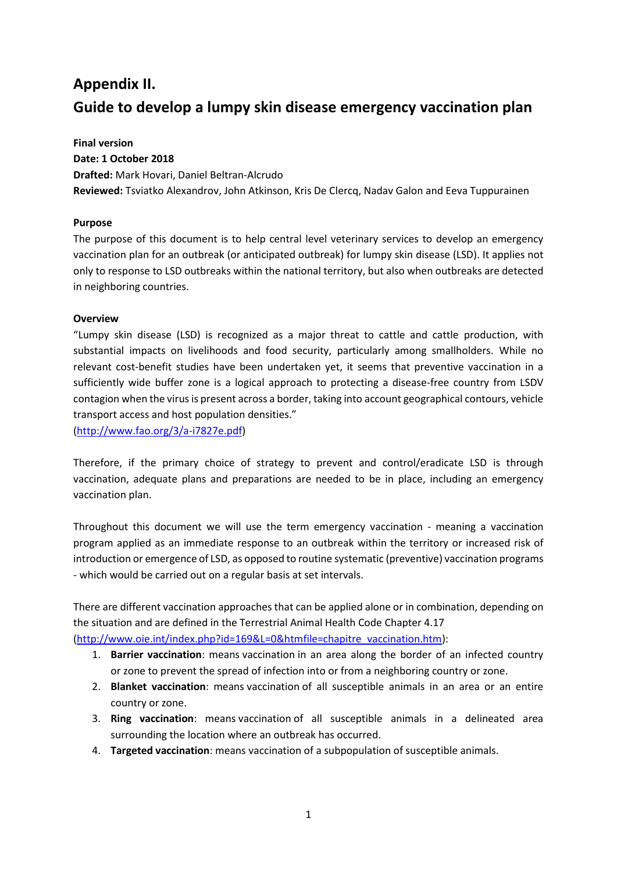# **Appendix II. Guide to develop a lumpy skin disease emergency vaccination plan**

**Final version Date: 1 October 2018 Drafted:** Mark Hovari, Daniel Beltran-Alcrudo **Reviewed:** Tsviatko Alexandrov, John Atkinson, Kris De Clercq, Nadav Galon and Eeva Tuppurainen

#### **Purpose**

The purpose of this document is to help central level veterinary services to develop an emergency vaccination plan for an outbreak (or anticipated outbreak) for lumpy skin disease (LSD). It applies not only to response to LSD outbreaks within the national territory, but also when outbreaks are detected in neighboring countries.

#### **Overview**

"Lumpy skin disease (LSD) is recognized as a major threat to cattle and cattle production, with substantial impacts on livelihoods and food security, particularly among smallholders. While no relevant cost-benefit studies have been undertaken yet, it seems that preventive vaccination in a sufficiently wide buffer zone is a logical approach to protecting a disease-free country from LSDV contagion when the virus is present across a border, taking into account geographical contours, vehicle transport access and host population densities."

[\(http://www.fao.org/3/a-i7827e.pdf\)](http://www.fao.org/3/a-i7827e.pdf)

Therefore, if the primary choice of strategy to prevent and control/eradicate LSD is through vaccination, adequate plans and preparations are needed to be in place, including an emergency vaccination plan.

Throughout this document we will use the term emergency vaccination - meaning a vaccination program applied as an immediate response to an outbreak within the territory or increased risk of introduction or emergence of LSD, as opposed to routine systematic (preventive) vaccination programs - which would be carried out on a regular basis at set intervals.

There are different vaccination approaches that can be applied alone or in combination, depending on the situation and are defined in the Terrestrial Animal Health Code Chapter 4.17 [\(http://www.oie.int/index.php?id=169&L=0&htmfile=chapitre\\_vaccination.htm\)](http://www.oie.int/index.php?id=169&L=0&htmfile=chapitre_vaccination.htm):

- 1. **Barrier vaccination**: means [vaccination](http://www.oie.int/index.php?id=169&L=0&htmfile=glossaire.htm#terme_vaccination) in an area along the border of an infected country or [zone](http://www.oie.int/index.php?id=169&L=0&htmfile=glossaire.htm#terme_zone_region) to prevent the spread of [infection](http://www.oie.int/index.php?id=169&L=0&htmfile=glossaire.htm#terme_infection) into or from a neighboring country or [zone.](http://www.oie.int/index.php?id=169&L=0&htmfile=glossaire.htm#terme_zone_region)
- 2. **Blanket vaccination**: means [vaccination](http://www.oie.int/index.php?id=169&L=0&htmfile=glossaire.htm#terme_vaccination) of all susceptible animals in an area or an entire country or [zone.](http://www.oie.int/index.php?id=169&L=0&htmfile=glossaire.htm#terme_zone_region)
- 3. **Ring vaccination**: means [vaccination](http://www.oie.int/index.php?id=169&L=0&htmfile=glossaire.htm#terme_vaccination) of all susceptible animals in a delineated area surrounding the location where an [outbreak](http://www.oie.int/index.php?id=169&L=0&htmfile=glossaire.htm#terme_foyer_de_maladie) has occurred.
- 4. **Targeted vaccination**: means [vaccination](http://www.oie.int/index.php?id=169&L=0&htmfile=glossaire.htm#terme_vaccination) of a [subpopulation](http://www.oie.int/index.php?id=169&L=0&htmfile=glossaire.htm#terme_sous_population) of susceptible animals.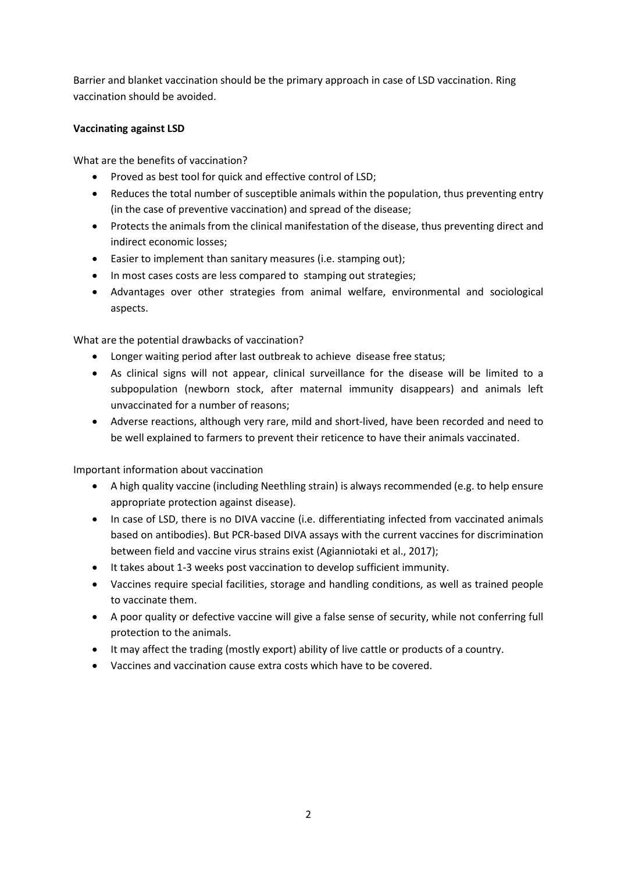Barrier and blanket vaccination should be the primary approach in case of LSD vaccination. Ring vaccination should be avoided.

## **Vaccinating against LSD**

What are the benefits of vaccination?

- Proved as best tool for quick and effective control of LSD;
- Reduces the total number of susceptible animals within the population, thus preventing entry (in the case of preventive vaccination) and spread of the disease;
- Protects the animals from the clinical manifestation of the disease, thus preventing direct and indirect economic losses;
- Easier to implement than sanitary measures (i.e. stamping out);
- In most cases costs are less compared to stamping out strategies;
- Advantages over other strategies from animal welfare, environmental and sociological aspects.

What are the potential drawbacks of vaccination?

- Longer waiting period after last outbreak to achieve disease free status;
- As clinical signs will not appear, clinical surveillance for the disease will be limited to a subpopulation (newborn stock, after maternal immunity disappears) and animals left unvaccinated for a number of reasons;
- Adverse reactions, although very rare, mild and short-lived, have been recorded and need to be well explained to farmers to prevent their reticence to have their animals vaccinated.

Important information about vaccination

- A high quality vaccine (including Neethling strain) is always recommended (e.g. to help ensure appropriate protection against disease).
- In case of LSD, there is no DIVA vaccine (i.e. differentiating infected from vaccinated animals based on antibodies). But PCR-based DIVA assays with the current vaccines for discrimination between field and vaccine virus strains exist (Agianniotaki et al., 2017);
- It takes about 1-3 weeks post vaccination to develop sufficient immunity.
- Vaccines require special facilities, storage and handling conditions, as well as trained people to vaccinate them.
- A poor quality or defective vaccine will give a false sense of security, while not conferring full protection to the animals.
- It may affect the trading (mostly export) ability of live cattle or products of a country.
- Vaccines and vaccination cause extra costs which have to be covered.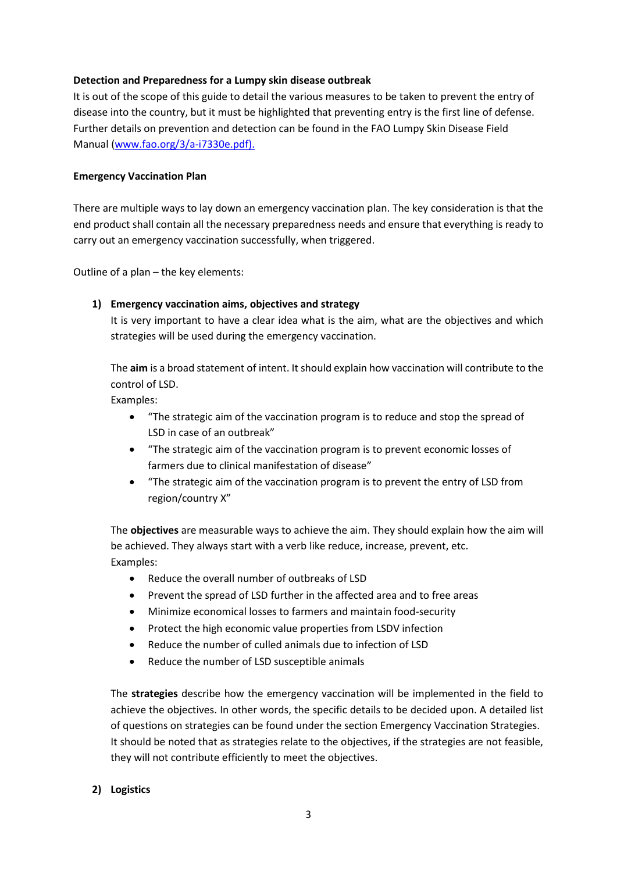#### **Detection and Preparedness for a Lumpy skin disease outbreak**

It is out of the scope of this guide to detail the various measures to be taken to prevent the entry of disease into the country, but it must be highlighted that preventing entry is the first line of defense. Further details on prevention and detection can be found in the FAO Lumpy Skin Disease Field Manual [\(www.fao.org/3/a-i7330e.pdf\)](http://www.fao.org/3/a-i7330e.pdf).

#### **Emergency Vaccination Plan**

There are multiple ways to lay down an emergency vaccination plan. The key consideration is that the end product shall contain all the necessary preparedness needs and ensure that everything is ready to carry out an emergency vaccination successfully, when triggered.

Outline of a plan – the key elements:

#### **1) Emergency vaccination aims, objectives and strategy**

It is very important to have a clear idea what is the aim, what are the objectives and which strategies will be used during the emergency vaccination.

The **aim** is a broad statement of intent. It should explain how vaccination will contribute to the control of LSD.

Examples:

- "The strategic aim of the vaccination program is to reduce and stop the spread of LSD in case of an outbreak"
- "The strategic aim of the vaccination program is to prevent economic losses of farmers due to clinical manifestation of disease"
- "The strategic aim of the vaccination program is to prevent the entry of LSD from region/country X"

The **objectives** are measurable ways to achieve the aim. They should explain how the aim will be achieved. They always start with a verb like reduce, increase, prevent, etc. Examples:

- Reduce the overall number of outbreaks of LSD
- Prevent the spread of LSD further in the affected area and to free areas
- Minimize economical losses to farmers and maintain food-security
- Protect the high economic value properties from LSDV infection
- Reduce the number of culled animals due to infection of LSD
- Reduce the number of LSD susceptible animals

The **strategies** describe how the emergency vaccination will be implemented in the field to achieve the objectives. In other words, the specific details to be decided upon. A detailed list of questions on strategies can be found under the section Emergency Vaccination Strategies. It should be noted that as strategies relate to the objectives, if the strategies are not feasible, they will not contribute efficiently to meet the objectives.

## **2) Logistics**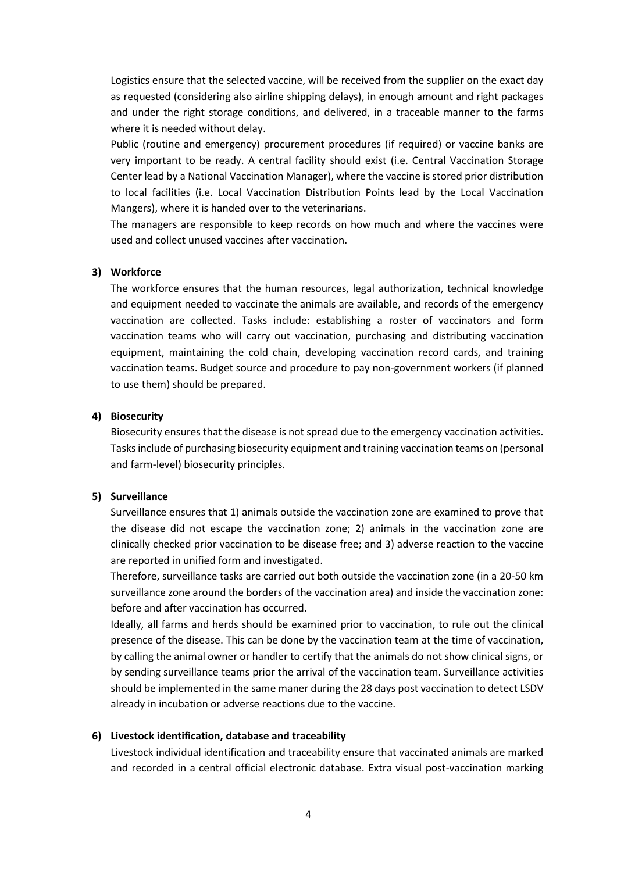Logistics ensure that the selected vaccine, will be received from the supplier on the exact day as requested (considering also airline shipping delays), in enough amount and right packages and under the right storage conditions, and delivered, in a traceable manner to the farms where it is needed without delay.

Public (routine and emergency) procurement procedures (if required) or vaccine banks are very important to be ready. A central facility should exist (i.e. Central Vaccination Storage Center lead by a National Vaccination Manager), where the vaccine is stored prior distribution to local facilities (i.e. Local Vaccination Distribution Points lead by the Local Vaccination Mangers), where it is handed over to the veterinarians.

The managers are responsible to keep records on how much and where the vaccines were used and collect unused vaccines after vaccination.

#### **3) Workforce**

The workforce ensures that the human resources, legal authorization, technical knowledge and equipment needed to vaccinate the animals are available, and records of the emergency vaccination are collected. Tasks include: establishing a roster of vaccinators and form vaccination teams who will carry out vaccination, purchasing and distributing vaccination equipment, maintaining the cold chain, developing vaccination record cards, and training vaccination teams. Budget source and procedure to pay non-government workers (if planned to use them) should be prepared.

#### **4) Biosecurity**

Biosecurity ensures that the disease is not spread due to the emergency vaccination activities. Tasks include of purchasing biosecurity equipment and training vaccination teams on (personal and farm-level) biosecurity principles.

#### **5) Surveillance**

Surveillance ensures that 1) animals outside the vaccination zone are examined to prove that the disease did not escape the vaccination zone; 2) animals in the vaccination zone are clinically checked prior vaccination to be disease free; and 3) adverse reaction to the vaccine are reported in unified form and investigated.

Therefore, surveillance tasks are carried out both outside the vaccination zone (in a 20-50 km surveillance zone around the borders of the vaccination area) and inside the vaccination zone: before and after vaccination has occurred.

Ideally, all farms and herds should be examined prior to vaccination, to rule out the clinical presence of the disease. This can be done by the vaccination team at the time of vaccination, by calling the animal owner or handler to certify that the animals do not show clinical signs, or by sending surveillance teams prior the arrival of the vaccination team. Surveillance activities should be implemented in the same maner during the 28 days post vaccination to detect LSDV already in incubation or adverse reactions due to the vaccine.

#### **6) Livestock identification, database and traceability**

Livestock individual identification and traceability ensure that vaccinated animals are marked and recorded in a central official electronic database. Extra visual post-vaccination marking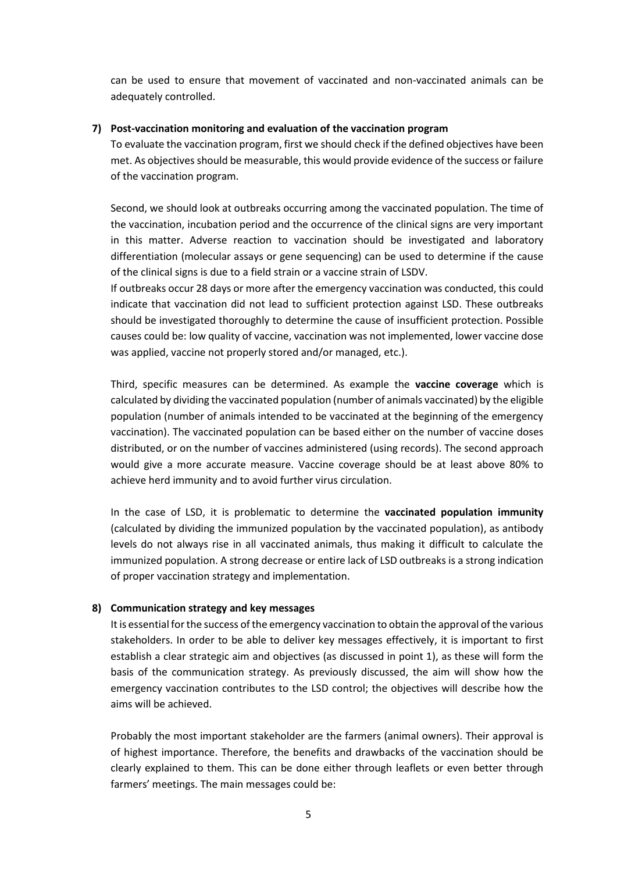can be used to ensure that movement of vaccinated and non-vaccinated animals can be adequately controlled.

#### **7) Post-vaccination monitoring and evaluation of the vaccination program**

To evaluate the vaccination program, first we should check if the defined objectives have been met. As objectives should be measurable, this would provide evidence of the success or failure of the vaccination program.

Second, we should look at outbreaks occurring among the vaccinated population. The time of the vaccination, incubation period and the occurrence of the clinical signs are very important in this matter. Adverse reaction to vaccination should be investigated and laboratory differentiation (molecular assays or gene sequencing) can be used to determine if the cause of the clinical signs is due to a field strain or a vaccine strain of LSDV.

If outbreaks occur 28 days or more after the emergency vaccination was conducted, this could indicate that vaccination did not lead to sufficient protection against LSD. These outbreaks should be investigated thoroughly to determine the cause of insufficient protection. Possible causes could be: low quality of vaccine, vaccination was not implemented, lower vaccine dose was applied, vaccine not properly stored and/or managed, etc.).

Third, specific measures can be determined. As example the **vaccine coverage** which is calculated by dividing the vaccinated population (number of animals vaccinated) by the eligible population (number of animals intended to be vaccinated at the beginning of the emergency vaccination). The vaccinated population can be based either on the number of vaccine doses distributed, or on the number of vaccines administered (using records). The second approach would give a more accurate measure. Vaccine coverage should be at least above 80% to achieve herd immunity and to avoid further virus circulation.

In the case of LSD, it is problematic to determine the **vaccinated population immunity** (calculated by dividing the immunized population by the vaccinated population), as antibody levels do not always rise in all vaccinated animals, thus making it difficult to calculate the immunized population. A strong decrease or entire lack of LSD outbreaks is a strong indication of proper vaccination strategy and implementation.

## **8) Communication strategy and key messages**

It is essential for the success of the emergency vaccination to obtain the approval of the various stakeholders. In order to be able to deliver key messages effectively, it is important to first establish a clear strategic aim and objectives (as discussed in point 1), as these will form the basis of the communication strategy. As previously discussed, the aim will show how the emergency vaccination contributes to the LSD control; the objectives will describe how the aims will be achieved.

Probably the most important stakeholder are the farmers (animal owners). Their approval is of highest importance. Therefore, the benefits and drawbacks of the vaccination should be clearly explained to them. This can be done either through leaflets or even better through farmers' meetings. The main messages could be: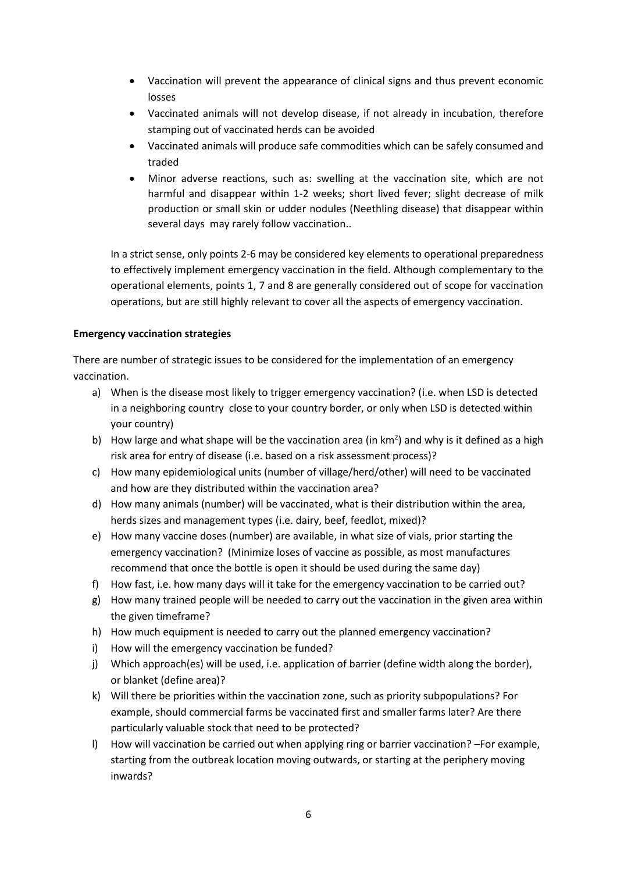- Vaccination will prevent the appearance of clinical signs and thus prevent economic losses
- Vaccinated animals will not develop disease, if not already in incubation, therefore stamping out of vaccinated herds can be avoided
- Vaccinated animals will produce safe commodities which can be safely consumed and traded
- Minor adverse reactions, such as: swelling at the vaccination site, which are not harmful and disappear within 1-2 weeks; short lived fever; slight decrease of milk production or small skin or udder nodules (Neethling disease) that disappear within several days may rarely follow vaccination..

In a strict sense, only points 2-6 may be considered key elements to operational preparedness to effectively implement emergency vaccination in the field. Although complementary to the operational elements, points 1, 7 and 8 are generally considered out of scope for vaccination operations, but are still highly relevant to cover all the aspects of emergency vaccination.

## **Emergency vaccination strategies**

There are number of strategic issues to be considered for the implementation of an emergency vaccination.

- a) When is the disease most likely to trigger emergency vaccination? (i.e. when LSD is detected in a neighboring country close to your country border, or only when LSD is detected within your country)
- b) How large and what shape will be the vaccination area (in  $km<sup>2</sup>$ ) and why is it defined as a high risk area for entry of disease (i.e. based on a risk assessment process)?
- c) How many epidemiological units (number of village/herd/other) will need to be vaccinated and how are they distributed within the vaccination area?
- d) How many animals (number) will be vaccinated, what is their distribution within the area, herds sizes and management types (i.e. dairy, beef, feedlot, mixed)?
- e) How many vaccine doses (number) are available, in what size of vials, prior starting the emergency vaccination? (Minimize loses of vaccine as possible, as most manufactures recommend that once the bottle is open it should be used during the same day)
- f) How fast, i.e. how many days will it take for the emergency vaccination to be carried out?
- g) How many trained people will be needed to carry out the vaccination in the given area within the given timeframe?
- h) How much equipment is needed to carry out the planned emergency vaccination?
- i) How will the emergency vaccination be funded?
- j) Which approach(es) will be used, i.e. application of barrier (define width along the border), or blanket (define area)?
- k) Will there be priorities within the vaccination zone, such as priority subpopulations? For example, should commercial farms be vaccinated first and smaller farms later? Are there particularly valuable stock that need to be protected?
- l) How will vaccination be carried out when applying ring or barrier vaccination? –For example, starting from the outbreak location moving outwards, or starting at the periphery moving inwards?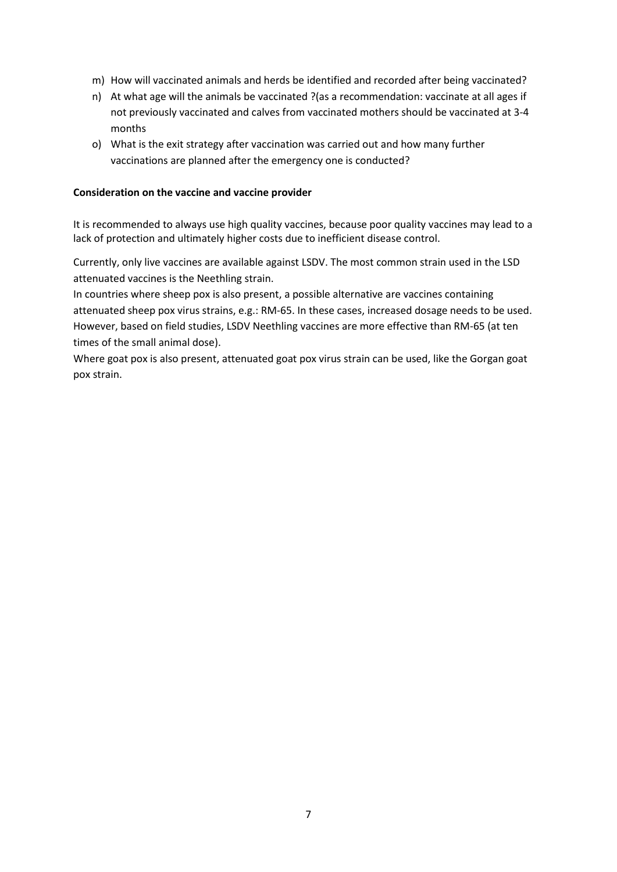- m) How will vaccinated animals and herds be identified and recorded after being vaccinated?
- n) At what age will the animals be vaccinated ?(as a recommendation: vaccinate at all ages if not previously vaccinated and calves from vaccinated mothers should be vaccinated at 3-4 months
- o) What is the exit strategy after vaccination was carried out and how many further vaccinations are planned after the emergency one is conducted?

#### **Consideration on the vaccine and vaccine provider**

It is recommended to always use high quality vaccines, because poor quality vaccines may lead to a lack of protection and ultimately higher costs due to inefficient disease control.

Currently, only live vaccines are available against LSDV. The most common strain used in the LSD attenuated vaccines is the Neethling strain.

In countries where sheep pox is also present, a possible alternative are vaccines containing attenuated sheep pox virus strains, e.g.: RM-65. In these cases, increased dosage needs to be used. However, based on field studies, LSDV Neethling vaccines are more effective than RM-65 (at ten times of the small animal dose).

Where goat pox is also present, attenuated goat pox virus strain can be used, like the Gorgan goat pox strain.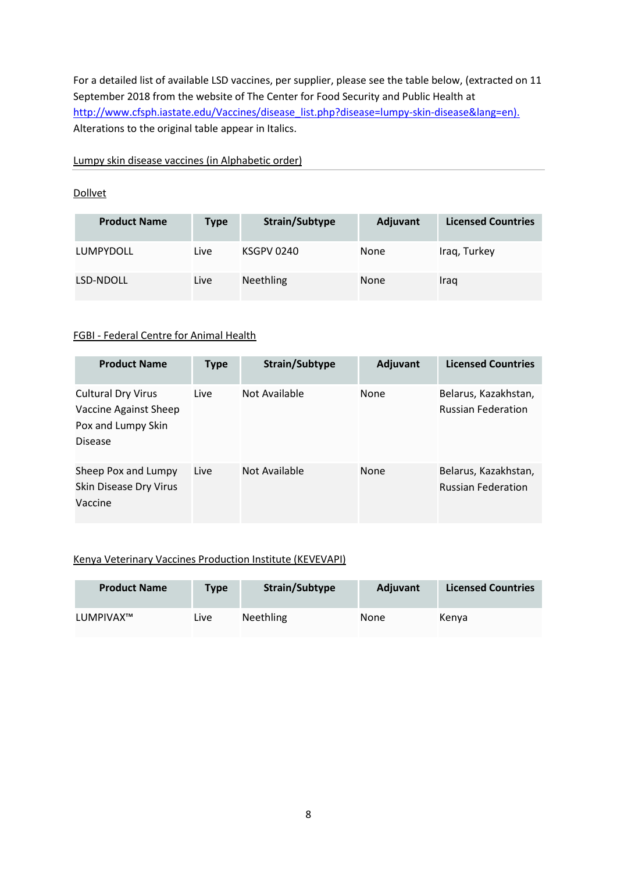For a detailed list of available LSD vaccines, per supplier, please see the table below, (extracted on 11 September 2018 from the website of The Center for Food Security and Public Health at [http://www.cfsph.iastate.edu/Vaccines/disease\\_list.php?disease=lumpy-skin-disease&lang=en\)](http://www.cfsph.iastate.edu/Vaccines/disease_list.php?disease=lumpy-skin-disease&lang=en). Alterations to the original table appear in Italics.

Lumpy skin disease vaccines (in Alphabetic order)

#### **[Dollvet](http://www.cfsph.iastate.edu/Vaccines/manufacturer_list.php?manufacturer=185&lang=en)**

| <b>Product Name</b> | Type | Strain/Subtype   | Adjuvant | <b>Licensed Countries</b> |
|---------------------|------|------------------|----------|---------------------------|
| LUMPYDOLL           | Live | KSGPV 0240       | None     | Iraq, Turkey              |
| LSD-NDOLL           | Live | <b>Neethling</b> | None     | Iraq                      |

#### FGBI - [Federal Centre for Animal Health](http://www.cfsph.iastate.edu/Vaccines/manufacturer_list.php?manufacturer=202&lang=en)

| <b>Product Name</b>                                                                 | <b>Type</b> | Strain/Subtype | Adjuvant    | <b>Licensed Countries</b>                         |
|-------------------------------------------------------------------------------------|-------------|----------------|-------------|---------------------------------------------------|
| <b>Cultural Dry Virus</b><br>Vaccine Against Sheep<br>Pox and Lumpy Skin<br>Disease | Live        | Not Available  | None        | Belarus, Kazakhstan,<br><b>Russian Federation</b> |
| Sheep Pox and Lumpy<br>Skin Disease Dry Virus<br>Vaccine                            | Live        | Not Available  | <b>None</b> | Belarus, Kazakhstan,<br><b>Russian Federation</b> |

## [Kenya Veterinary Vaccines Production Institute \(KEVEVAPI\)](http://www.cfsph.iastate.edu/Vaccines/manufacturer_list.php?manufacturer=17&lang=en)

| <b>Product Name</b> | <b>Type</b> | Strain/Subtype   | Adjuvant | <b>Licensed Countries</b> |
|---------------------|-------------|------------------|----------|---------------------------|
| LUMPIVAX™           | Live        | <b>Neethling</b> | None     | Kenva                     |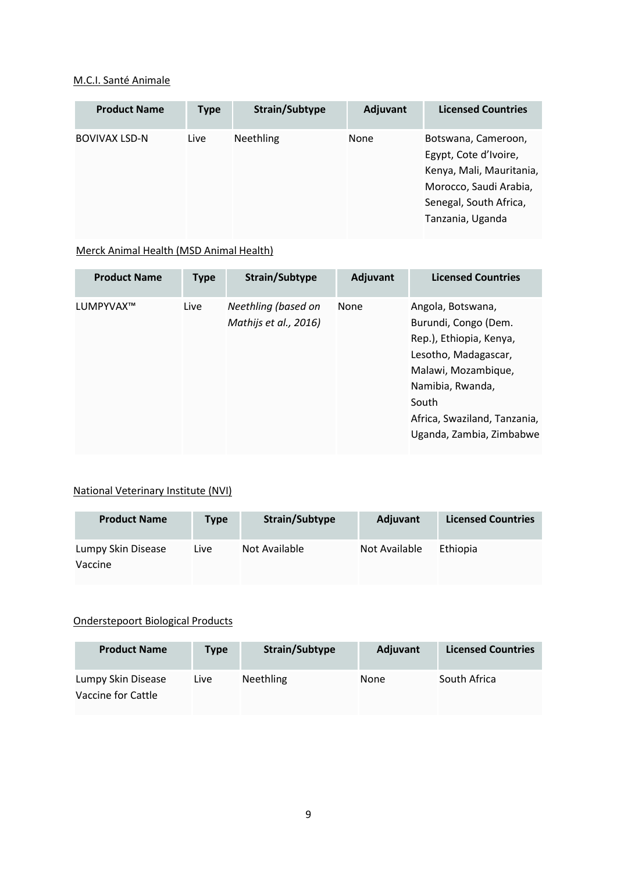## [M.C.I. Santé Animale](http://www.cfsph.iastate.edu/Vaccines/manufacturer_list.php?manufacturer=234&lang=en)

| <b>Product Name</b> | <b>Type</b> | Strain/Subtype   | Adjuvant | <b>Licensed Countries</b>                                                                                                                        |
|---------------------|-------------|------------------|----------|--------------------------------------------------------------------------------------------------------------------------------------------------|
| BOVIVAX LSD-N       | Live        | <b>Neethling</b> | None     | Botswana, Cameroon,<br>Egypt, Cote d'Ivoire,<br>Kenya, Mali, Mauritania,<br>Morocco, Saudi Arabia,<br>Senegal, South Africa,<br>Tanzania, Uganda |

# [Merck Animal Health \(MSD Animal Health\)](http://www.cfsph.iastate.edu/Vaccines/manufacturer_list.php?manufacturer=13&lang=en)

| <b>Product Name</b> | <b>Type</b> | Strain/Subtype                               | Adjuvant | <b>Licensed Countries</b>                                                                                                                                                                                    |
|---------------------|-------------|----------------------------------------------|----------|--------------------------------------------------------------------------------------------------------------------------------------------------------------------------------------------------------------|
| LUMPYVAX™           | Live        | Neethling (based on<br>Mathijs et al., 2016) | None     | Angola, Botswana,<br>Burundi, Congo (Dem.<br>Rep.), Ethiopia, Kenya,<br>Lesotho, Madagascar,<br>Malawi, Mozambique,<br>Namibia, Rwanda,<br>South<br>Africa, Swaziland, Tanzania,<br>Uganda, Zambia, Zimbabwe |

# [National Veterinary Institute \(NVI\)](http://www.cfsph.iastate.edu/Vaccines/manufacturer_list.php?manufacturer=115&lang=en)

| <b>Product Name</b>           | Type | Strain/Subtype | Adjuvant      | <b>Licensed Countries</b> |
|-------------------------------|------|----------------|---------------|---------------------------|
| Lumpy Skin Disease<br>Vaccine | Live | Not Available  | Not Available | Ethiopia                  |

#### [Onderstepoort Biological Products](http://www.cfsph.iastate.edu/Vaccines/manufacturer_list.php?manufacturer=33&lang=en)

| <b>Product Name</b>                      | Type | Strain/Subtype   | <b>Adjuvant</b> | <b>Licensed Countries</b> |
|------------------------------------------|------|------------------|-----------------|---------------------------|
| Lumpy Skin Disease<br>Vaccine for Cattle | Live | <b>Neethling</b> | None            | South Africa              |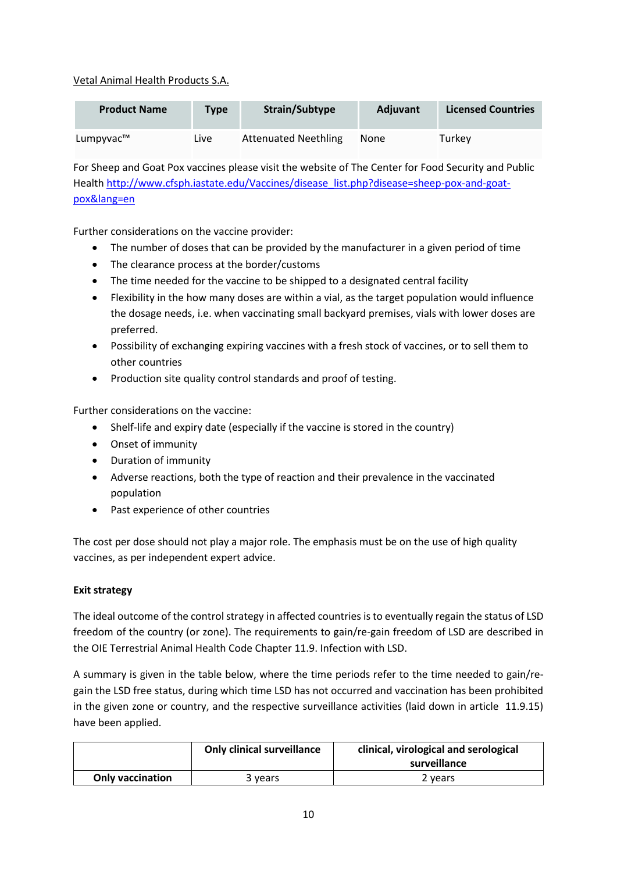## [Vetal Animal Health Products S.A.](http://www.cfsph.iastate.edu/Vaccines/manufacturer_list.php?manufacturer=45&lang=en)

| <b>Product Name</b> | <b>Type</b> | Strain/Subtype              | <b>Adiuvant</b> | <b>Licensed Countries</b> |
|---------------------|-------------|-----------------------------|-----------------|---------------------------|
| Lumpyvac™           | Live        | <b>Attenuated Neethling</b> | None            | Turkey                    |

For Sheep and Goat Pox vaccines please visit the website of The Center for Food Security and Public Health http://www.cfsph.iastate.edu/Vaccines/disease\_list.php?disease=sheep-pox-and-goatpox&lang=en

Further considerations on the vaccine provider:

- The number of doses that can be provided by the manufacturer in a given period of time
- The clearance process at the border/customs
- The time needed for the vaccine to be shipped to a designated central facility
- Flexibility in the how many doses are within a vial, as the target population would influence the dosage needs, i.e. when vaccinating small backyard premises, vials with lower doses are preferred.
- Possibility of exchanging expiring vaccines with a fresh stock of vaccines, or to sell them to other countries
- Production site quality control standards and proof of testing.

Further considerations on the vaccine:

- Shelf-life and expiry date (especially if the vaccine is stored in the country)
- Onset of immunity
- Duration of immunity
- Adverse reactions, both the type of reaction and their prevalence in the vaccinated population
- Past experience of other countries

The cost per dose should not play a major role. The emphasis must be on the use of high quality vaccines, as per independent expert advice.

## **Exit strategy**

The ideal outcome of the control strategy in affected countries is to eventually regain the status of LSD freedom of the country (or zone). The requirements to gain/re-gain freedom of LSD are described in the OIE Terrestrial Animal Health Code Chapter 11.9. Infection with LSD.

A summary is given in the table below, where the time periods refer to the time needed to gain/regain the LSD free status, during which time LSD has not occurred and vaccination has been prohibited in the given zone or country, and the respective surveillance activities (laid down in article 11.9.15) have been applied.

|                         | <b>Only clinical surveillance</b> | clinical, virological and serological<br>surveillance |
|-------------------------|-----------------------------------|-------------------------------------------------------|
| <b>Only vaccination</b> | 3 vears                           | 2 vears                                               |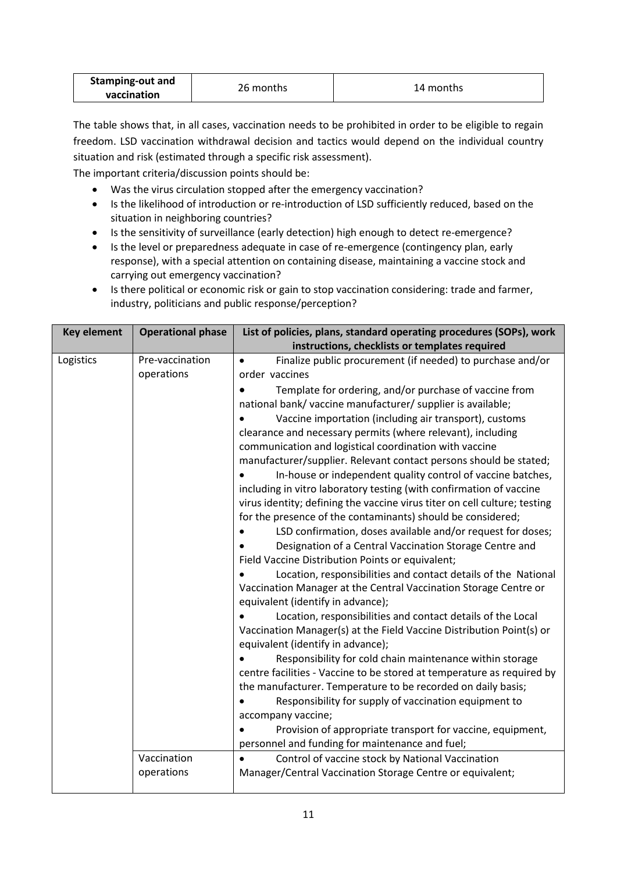| Stamping-out and | 26 months | 14 months |
|------------------|-----------|-----------|
| vaccination      |           |           |

The table shows that, in all cases, vaccination needs to be prohibited in order to be eligible to regain freedom. LSD vaccination withdrawal decision and tactics would depend on the individual country situation and risk (estimated through a specific risk assessment).

The important criteria/discussion points should be:

- Was the virus circulation stopped after the emergency vaccination?
- Is the likelihood of introduction or re-introduction of LSD sufficiently reduced, based on the situation in neighboring countries?
- Is the sensitivity of surveillance (early detection) high enough to detect re-emergence?
- Is the level or preparedness adequate in case of re-emergence (contingency plan, early response), with a special attention on containing disease, maintaining a vaccine stock and carrying out emergency vaccination?
- Is there political or economic risk or gain to stop vaccination considering: trade and farmer, industry, politicians and public response/perception?

| <b>Key element</b> | <b>Operational phase</b> | List of policies, plans, standard operating procedures (SOPs), work       |
|--------------------|--------------------------|---------------------------------------------------------------------------|
|                    |                          | instructions, checklists or templates required                            |
| Logistics          | Pre-vaccination          | Finalize public procurement (if needed) to purchase and/or<br>$\bullet$   |
|                    | operations               | order vaccines                                                            |
|                    |                          | Template for ordering, and/or purchase of vaccine from                    |
|                    |                          | national bank/ vaccine manufacturer/ supplier is available;               |
|                    |                          | Vaccine importation (including air transport), customs                    |
|                    |                          | clearance and necessary permits (where relevant), including               |
|                    |                          | communication and logistical coordination with vaccine                    |
|                    |                          | manufacturer/supplier. Relevant contact persons should be stated;         |
|                    |                          | In-house or independent quality control of vaccine batches,               |
|                    |                          | including in vitro laboratory testing (with confirmation of vaccine       |
|                    |                          | virus identity; defining the vaccine virus titer on cell culture; testing |
|                    |                          | for the presence of the contaminants) should be considered;               |
|                    |                          | LSD confirmation, doses available and/or request for doses;               |
|                    |                          | Designation of a Central Vaccination Storage Centre and                   |
|                    |                          | Field Vaccine Distribution Points or equivalent;                          |
|                    |                          | Location, responsibilities and contact details of the National            |
|                    |                          | Vaccination Manager at the Central Vaccination Storage Centre or          |
|                    |                          | equivalent (identify in advance);                                         |
|                    |                          | Location, responsibilities and contact details of the Local               |
|                    |                          | Vaccination Manager(s) at the Field Vaccine Distribution Point(s) or      |
|                    |                          | equivalent (identify in advance);                                         |
|                    |                          | Responsibility for cold chain maintenance within storage                  |
|                    |                          | centre facilities - Vaccine to be stored at temperature as required by    |
|                    |                          | the manufacturer. Temperature to be recorded on daily basis;              |
|                    |                          | Responsibility for supply of vaccination equipment to                     |
|                    |                          | accompany vaccine;                                                        |
|                    |                          | Provision of appropriate transport for vaccine, equipment,                |
|                    |                          | personnel and funding for maintenance and fuel;                           |
|                    | Vaccination              | Control of vaccine stock by National Vaccination<br>$\bullet$             |
|                    | operations               | Manager/Central Vaccination Storage Centre or equivalent;                 |
|                    |                          |                                                                           |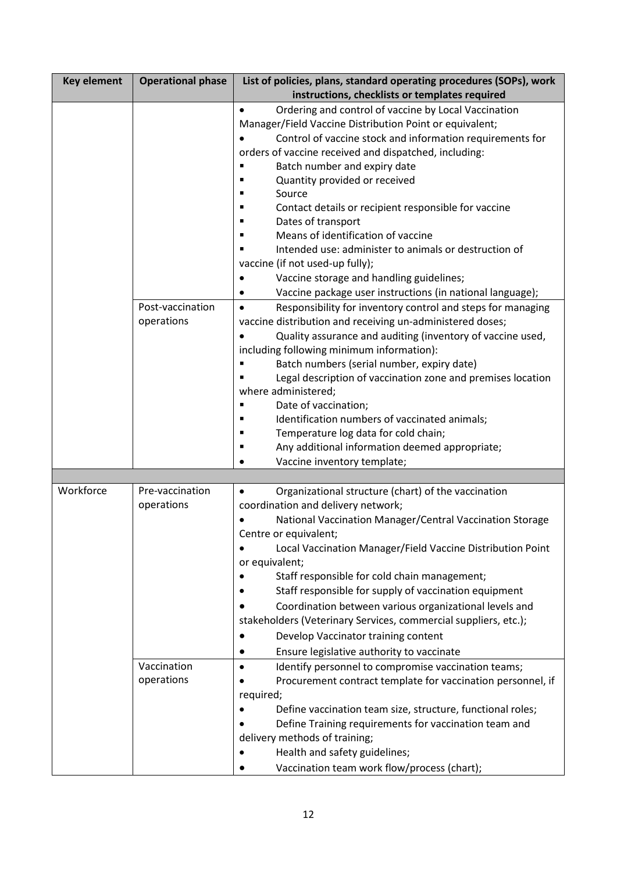| <b>Key element</b> | <b>Operational phase</b>                                   | List of policies, plans, standard operating procedures (SOPs), work                                                                                                                                                                                                                                                                                                                                                                                                                                                                                                                                                                                                                                                                                                                                                                                                                                                                            |
|--------------------|------------------------------------------------------------|------------------------------------------------------------------------------------------------------------------------------------------------------------------------------------------------------------------------------------------------------------------------------------------------------------------------------------------------------------------------------------------------------------------------------------------------------------------------------------------------------------------------------------------------------------------------------------------------------------------------------------------------------------------------------------------------------------------------------------------------------------------------------------------------------------------------------------------------------------------------------------------------------------------------------------------------|
|                    |                                                            | instructions, checklists or templates required                                                                                                                                                                                                                                                                                                                                                                                                                                                                                                                                                                                                                                                                                                                                                                                                                                                                                                 |
|                    |                                                            | Ordering and control of vaccine by Local Vaccination<br>$\bullet$<br>Manager/Field Vaccine Distribution Point or equivalent;<br>Control of vaccine stock and information requirements for<br>orders of vaccine received and dispatched, including:<br>Batch number and expiry date<br>Е<br>Quantity provided or received<br>Source<br>Contact details or recipient responsible for vaccine<br>Е<br>Dates of transport<br>Е<br>Means of identification of vaccine<br>п<br>Intended use: administer to animals or destruction of<br>п<br>vaccine (if not used-up fully);<br>Vaccine storage and handling guidelines;<br>$\bullet$                                                                                                                                                                                                                                                                                                                |
|                    | Post-vaccination<br>operations                             | Vaccine package user instructions (in national language);<br>Responsibility for inventory control and steps for managing<br>$\bullet$<br>vaccine distribution and receiving un-administered doses;<br>Quality assurance and auditing (inventory of vaccine used,<br>including following minimum information):<br>Batch numbers (serial number, expiry date)<br>Legal description of vaccination zone and premises location<br>where administered;<br>Date of vaccination;<br>п<br>Identification numbers of vaccinated animals;<br>Е<br>Temperature log data for cold chain;<br>п<br>Any additional information deemed appropriate;<br>п<br>Vaccine inventory template;                                                                                                                                                                                                                                                                        |
|                    |                                                            |                                                                                                                                                                                                                                                                                                                                                                                                                                                                                                                                                                                                                                                                                                                                                                                                                                                                                                                                                |
| Workforce          | Pre-vaccination<br>operations<br>Vaccination<br>operations | Organizational structure (chart) of the vaccination<br>coordination and delivery network;<br>National Vaccination Manager/Central Vaccination Storage<br>Centre or equivalent;<br>Local Vaccination Manager/Field Vaccine Distribution Point<br>$\bullet$<br>or equivalent;<br>Staff responsible for cold chain management;<br>Staff responsible for supply of vaccination equipment<br>Coordination between various organizational levels and<br>stakeholders (Veterinary Services, commercial suppliers, etc.);<br>Develop Vaccinator training content<br>Ensure legislative authority to vaccinate<br>Identify personnel to compromise vaccination teams;<br>$\bullet$<br>Procurement contract template for vaccination personnel, if<br>required;<br>Define vaccination team size, structure, functional roles;<br>Define Training requirements for vaccination team and<br>delivery methods of training;<br>Health and safety guidelines; |
|                    |                                                            | Vaccination team work flow/process (chart);                                                                                                                                                                                                                                                                                                                                                                                                                                                                                                                                                                                                                                                                                                                                                                                                                                                                                                    |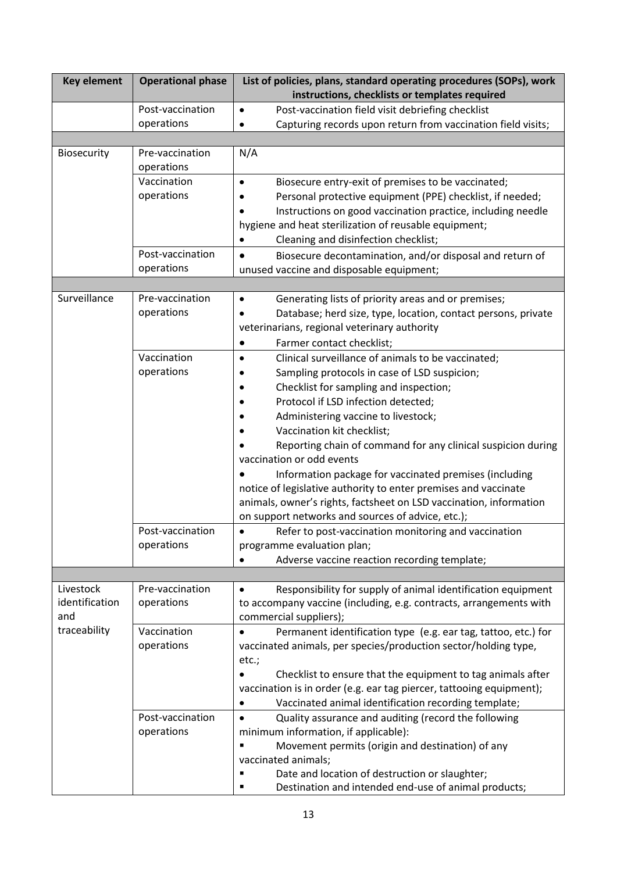| <b>Key element</b>                                 | <b>Operational phase</b>      | List of policies, plans, standard operating procedures (SOPs), work<br>instructions, checklists or templates required             |
|----------------------------------------------------|-------------------------------|-----------------------------------------------------------------------------------------------------------------------------------|
|                                                    | Post-vaccination              | Post-vaccination field visit debriefing checklist<br>$\bullet$                                                                    |
|                                                    | operations                    | Capturing records upon return from vaccination field visits;                                                                      |
|                                                    |                               |                                                                                                                                   |
| Biosecurity                                        | Pre-vaccination<br>operations | N/A                                                                                                                               |
|                                                    | Vaccination                   | Biosecure entry-exit of premises to be vaccinated;<br>$\bullet$                                                                   |
|                                                    | operations                    | Personal protective equipment (PPE) checklist, if needed;                                                                         |
|                                                    |                               | Instructions on good vaccination practice, including needle                                                                       |
|                                                    |                               | hygiene and heat sterilization of reusable equipment;                                                                             |
|                                                    |                               | Cleaning and disinfection checklist;<br>$\bullet$                                                                                 |
|                                                    | Post-vaccination              | Biosecure decontamination, and/or disposal and return of<br>$\bullet$                                                             |
|                                                    | operations                    | unused vaccine and disposable equipment;                                                                                          |
|                                                    |                               |                                                                                                                                   |
| Surveillance                                       | Pre-vaccination               | Generating lists of priority areas and or premises;<br>$\bullet$                                                                  |
|                                                    | operations                    | Database; herd size, type, location, contact persons, private<br>veterinarians, regional veterinary authority                     |
|                                                    |                               |                                                                                                                                   |
|                                                    | Vaccination                   | Farmer contact checklist;                                                                                                         |
|                                                    | operations                    | Clinical surveillance of animals to be vaccinated;<br>$\bullet$<br>Sampling protocols in case of LSD suspicion;                   |
|                                                    |                               | Checklist for sampling and inspection;                                                                                            |
|                                                    |                               | Protocol if LSD infection detected;                                                                                               |
|                                                    |                               | Administering vaccine to livestock;                                                                                               |
|                                                    |                               | Vaccination kit checklist;                                                                                                        |
|                                                    |                               | Reporting chain of command for any clinical suspicion during                                                                      |
|                                                    |                               | vaccination or odd events                                                                                                         |
|                                                    |                               | Information package for vaccinated premises (including                                                                            |
|                                                    |                               | notice of legislative authority to enter premises and vaccinate                                                                   |
|                                                    |                               | animals, owner's rights, factsheet on LSD vaccination, information                                                                |
|                                                    |                               | on support networks and sources of advice, etc.);                                                                                 |
|                                                    | Post-vaccination              | Refer to post-vaccination monitoring and vaccination<br>$\bullet$                                                                 |
|                                                    | operations                    | programme evaluation plan;                                                                                                        |
|                                                    |                               | Adverse vaccine reaction recording template;                                                                                      |
|                                                    |                               |                                                                                                                                   |
| Livestock<br>identification<br>and<br>traceability | Pre-vaccination               | Responsibility for supply of animal identification equipment<br>$\bullet$                                                         |
|                                                    | operations                    | to accompany vaccine (including, e.g. contracts, arrangements with                                                                |
|                                                    | Vaccination                   | commercial suppliers);                                                                                                            |
|                                                    | operations                    | Permanent identification type (e.g. ear tag, tattoo, etc.) for<br>vaccinated animals, per species/production sector/holding type, |
|                                                    |                               | etc.;                                                                                                                             |
|                                                    |                               | Checklist to ensure that the equipment to tag animals after                                                                       |
|                                                    |                               | vaccination is in order (e.g. ear tag piercer, tattooing equipment);                                                              |
|                                                    |                               | Vaccinated animal identification recording template;                                                                              |
|                                                    | Post-vaccination              | Quality assurance and auditing (record the following<br>$\bullet$                                                                 |
|                                                    | operations                    | minimum information, if applicable):                                                                                              |
|                                                    |                               | Movement permits (origin and destination) of any                                                                                  |
|                                                    |                               | vaccinated animals;                                                                                                               |
|                                                    |                               | Date and location of destruction or slaughter;                                                                                    |
|                                                    |                               | Destination and intended end-use of animal products;                                                                              |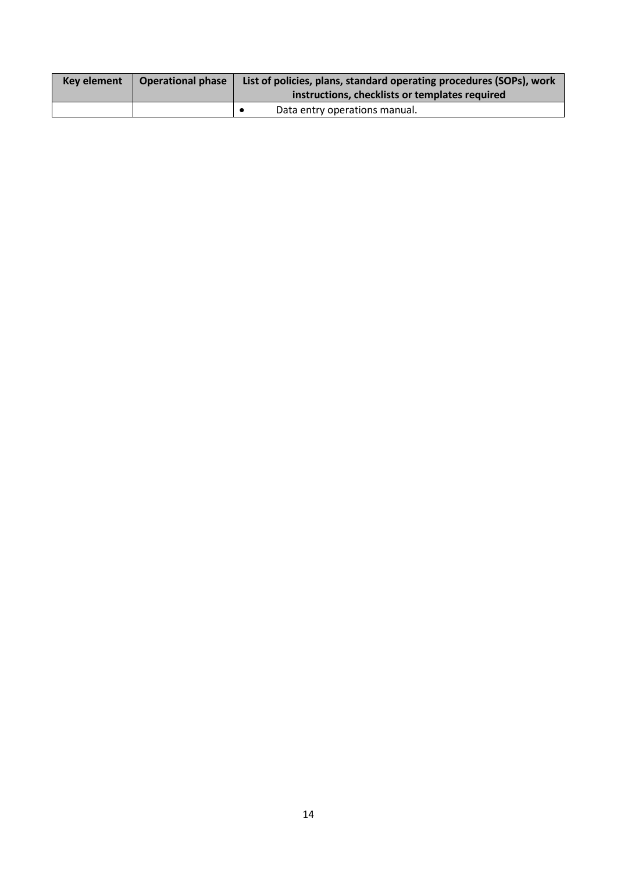| Key element | <b>Operational phase</b> | List of policies, plans, standard operating procedures (SOPs), work<br>instructions, checklists or templates required |
|-------------|--------------------------|-----------------------------------------------------------------------------------------------------------------------|
|             |                          | Data entry operations manual.                                                                                         |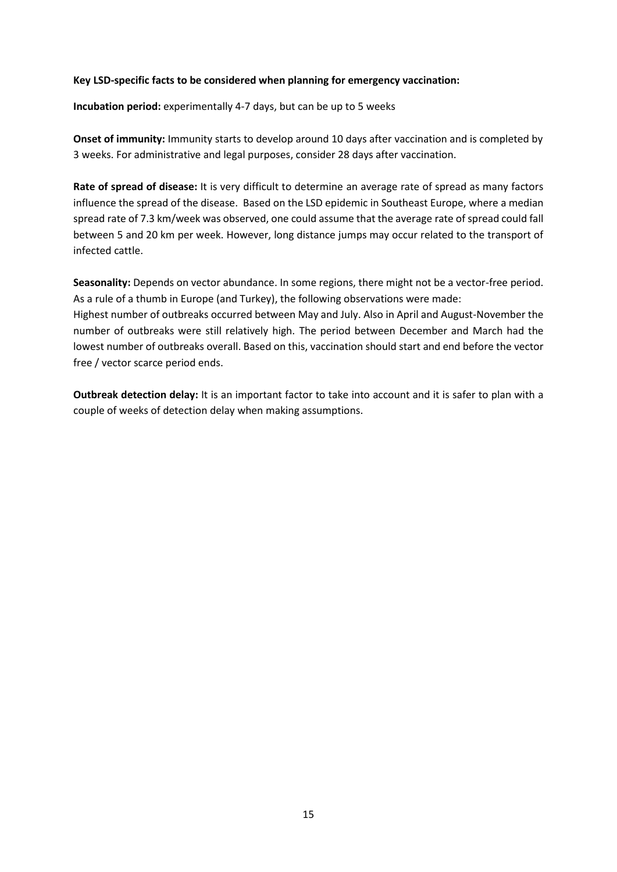#### **Key LSD-specific facts to be considered when planning for emergency vaccination:**

**Incubation period:** experimentally 4-7 days, but can be up to 5 weeks

**Onset of immunity:** Immunity starts to develop around 10 days after vaccination and is completed by 3 weeks. For administrative and legal purposes, consider 28 days after vaccination.

**Rate of spread of disease:** It is very difficult to determine an average rate of spread as many factors influence the spread of the disease. Based on the LSD epidemic in Southeast Europe, where a median spread rate of 7.3 km/week was observed, one could assume that the average rate of spread could fall between 5 and 20 km per week. However, long distance jumps may occur related to the transport of infected cattle.

**Seasonality:** Depends on vector abundance. In some regions, there might not be a vector-free period. As a rule of a thumb in Europe (and Turkey), the following observations were made:

Highest number of outbreaks occurred between May and July. Also in April and August-November the number of outbreaks were still relatively high. The period between December and March had the lowest number of outbreaks overall. Based on this, vaccination should start and end before the vector free / vector scarce period ends.

**Outbreak detection delay:** It is an important factor to take into account and it is safer to plan with a couple of weeks of detection delay when making assumptions.